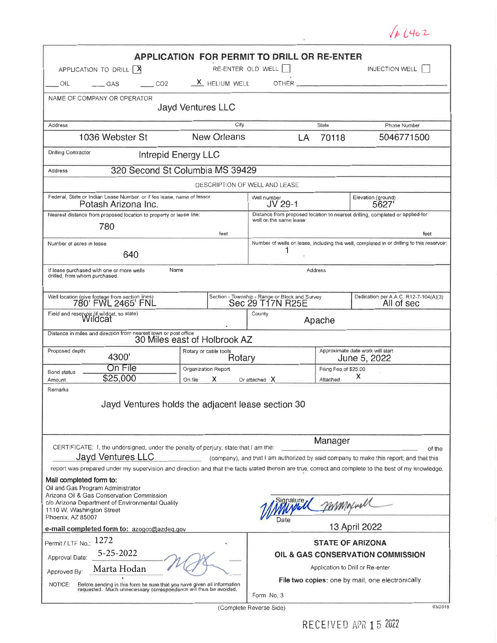|                                                                                                                                                                                                                                                                                                                                                                                        |                                                                                               |                                                                |                                                  | 46402                                                                                      |  |  |  |  |  |  |
|----------------------------------------------------------------------------------------------------------------------------------------------------------------------------------------------------------------------------------------------------------------------------------------------------------------------------------------------------------------------------------------|-----------------------------------------------------------------------------------------------|----------------------------------------------------------------|--------------------------------------------------|--------------------------------------------------------------------------------------------|--|--|--|--|--|--|
| <b>APPLICATION FOR PERMIT TO DRILL OR RE-ENTER</b><br>RE-ENTER OLD WELL    <br>INJECTION WELL  <br>APPLICATION TO DRILL   X                                                                                                                                                                                                                                                            |                                                                                               |                                                                |                                                  |                                                                                            |  |  |  |  |  |  |
| CO2<br>OIL<br>$\qquad$ GAS                                                                                                                                                                                                                                                                                                                                                             | $X$ HELIUM WELL                                                                               |                                                                |                                                  |                                                                                            |  |  |  |  |  |  |
| NAME OF COMPANY OR OPERATOR<br><b>Jayd Ventures LLC</b>                                                                                                                                                                                                                                                                                                                                |                                                                                               |                                                                |                                                  |                                                                                            |  |  |  |  |  |  |
| Address                                                                                                                                                                                                                                                                                                                                                                                | City                                                                                          |                                                                | State                                            | Phone Number                                                                               |  |  |  |  |  |  |
| 1036 Webster St                                                                                                                                                                                                                                                                                                                                                                        | <b>New Orleans</b>                                                                            | LA                                                             | 70118                                            | 5046771500                                                                                 |  |  |  |  |  |  |
| <b>Drilling Contractor</b><br>Intrepid Energy LLC                                                                                                                                                                                                                                                                                                                                      |                                                                                               |                                                                |                                                  |                                                                                            |  |  |  |  |  |  |
| 320 Second St Columbia MS 39429<br>Address                                                                                                                                                                                                                                                                                                                                             |                                                                                               |                                                                |                                                  |                                                                                            |  |  |  |  |  |  |
| DESCRIPTION OF WELL AND LEASE                                                                                                                                                                                                                                                                                                                                                          |                                                                                               |                                                                |                                                  |                                                                                            |  |  |  |  |  |  |
| Potash Arizona Inc.                                                                                                                                                                                                                                                                                                                                                                    | Federal, State or Indian Lease Number, or if fee lease, name of lessor                        |                                                                |                                                  | Elevation (ground)<br>5627                                                                 |  |  |  |  |  |  |
| 780                                                                                                                                                                                                                                                                                                                                                                                    | Nearest distance from proposed location to property or lease line:<br>well on the same lease: |                                                                |                                                  | Distance from proposed location to nearset drilling, completed or applied-for              |  |  |  |  |  |  |
|                                                                                                                                                                                                                                                                                                                                                                                        | feet                                                                                          |                                                                |                                                  | feet                                                                                       |  |  |  |  |  |  |
| Number of acres in lease<br>640                                                                                                                                                                                                                                                                                                                                                        |                                                                                               |                                                                |                                                  | Number of wells on lease, including this well, completed in or drilling to this reservoir: |  |  |  |  |  |  |
| If lease purchased with one or more wells<br>drilled, from whom purchased.                                                                                                                                                                                                                                                                                                             | Name                                                                                          |                                                                | Address                                          |                                                                                            |  |  |  |  |  |  |
| Well location (give footage from section lines)<br>780' FWL 2465' FNL                                                                                                                                                                                                                                                                                                                  | Section - Township - Range or Block and Survey<br>Sec 29 T17N R25E                            |                                                                |                                                  | Dedication per A.A.C. R12-7-104(A)(3)<br>All of sec                                        |  |  |  |  |  |  |
| Field and reservoir (if wildcat, so state)                                                                                                                                                                                                                                                                                                                                             |                                                                                               | County<br>Apache                                               |                                                  |                                                                                            |  |  |  |  |  |  |
| Distance in miles and direction from nearest town or post office                                                                                                                                                                                                                                                                                                                       | 30 Miles east of Holbrook AZ                                                                  |                                                                |                                                  |                                                                                            |  |  |  |  |  |  |
| Proposed depth:<br>4300'                                                                                                                                                                                                                                                                                                                                                               | Rotary or cable tools<br>Rotary                                                               |                                                                | Approximate date work will start<br>June 5, 2022 |                                                                                            |  |  |  |  |  |  |
| On File<br>Bond status<br>\$25,000<br>Amount                                                                                                                                                                                                                                                                                                                                           | Organization Report<br>x<br>On file                                                           | Or attached X                                                  | Filing Fee of \$25.00<br>x<br>Attached           |                                                                                            |  |  |  |  |  |  |
| Remarks                                                                                                                                                                                                                                                                                                                                                                                | Jayd Ventures holds the adjacent lease section 30                                             |                                                                |                                                  |                                                                                            |  |  |  |  |  |  |
| Manager<br>CERTIFICATE: I, the undersigned, under the penalty of perjury, state that I am the:<br>of the<br><b>Jayd Ventures LLC</b><br>(company), and that I am authorized by said company to make this report; and that this<br>report was prepared under my supervision and direction and that the facts stated therein are true, correct and complete to the best of my knowledge, |                                                                                               |                                                                |                                                  |                                                                                            |  |  |  |  |  |  |
| Mail completed form to:<br>Oil and Gas Program Administrator<br>Arizona Oil & Gas Conservation Commission<br>c/o Arizona Department of Environmental Quality<br>1110 W. Washington Street<br>Phoenix, AZ 85007                                                                                                                                                                         |                                                                                               | ignature                                                       | MAMMount                                         |                                                                                            |  |  |  |  |  |  |
| e-mail completed form to: azogcc@azdeq.gov                                                                                                                                                                                                                                                                                                                                             |                                                                                               |                                                                |                                                  | 13 April 2022                                                                              |  |  |  |  |  |  |
| Permit / LTF No 1272                                                                                                                                                                                                                                                                                                                                                                   |                                                                                               | <b>STATE OF ARIZONA</b>                                        |                                                  |                                                                                            |  |  |  |  |  |  |
| 5-25-2022<br>Approval Date:                                                                                                                                                                                                                                                                                                                                                            |                                                                                               | OIL & GAS CONSERVATION COMMISSION                              |                                                  |                                                                                            |  |  |  |  |  |  |
| Marta Hodan<br>Approved By:                                                                                                                                                                                                                                                                                                                                                            |                                                                                               | Application to Drill or Re-enter                               |                                                  |                                                                                            |  |  |  |  |  |  |
| Before sending in this form be sure that you have given all information<br>requested. Much unnecessary correspondence will thus be avoided.<br>NOTICE:                                                                                                                                                                                                                                 |                                                                                               | File two copies: one by mail, one electronically<br>Form No. 3 |                                                  |                                                                                            |  |  |  |  |  |  |

(Complete Reverse Side)

 $03/2018$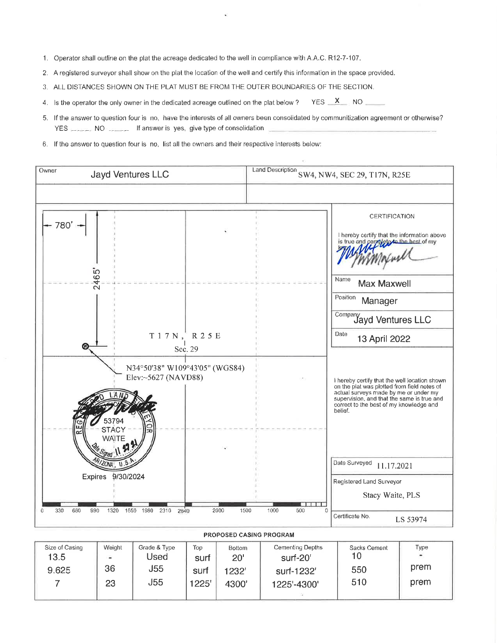- 1. Operator shall outline on the plat the acreage dedicated to the well in compliance with A.A.C. R12-7-107.
- 2. A registered surveyor shall show on the plat the location of the well and certify this information in the space provided.
- 3. ALL DISTANCES SHOWN ON THE PLAT MUST BE FROM THE OUTER BOUNDARIES OF THE SECTION.
- YES X NO 4. Is the operator the only owner in the dedicated acreage outlined on the plat below?
- 5. If the answer to question four is no, have the interests of all owners been consolidated by communitization agreement or otherwise? YES NO If answer is yes, give type of consolidation
- 6. If the answer to question four is no, list all the owners and their respective interests below:



PROPOSED CASING PROGRAM

| Size of Casing | Weight | Grade & Type | Top   | <b>Bottom</b> | Cementing Depths | Sacks Cement | Type |
|----------------|--------|--------------|-------|---------------|------------------|--------------|------|
| 13.5           | a,     | Jsed         | surt  | 20'           | surf-20'         |              |      |
| 9.625          | 36     | J55          | surf  | 1232'         | surf-1232'       | 550          | prem |
|                | 23     | J55          | 1225' | 4300'         | 1225'-4300'      | 510          | prem |
|                |        |              |       |               |                  |              |      |